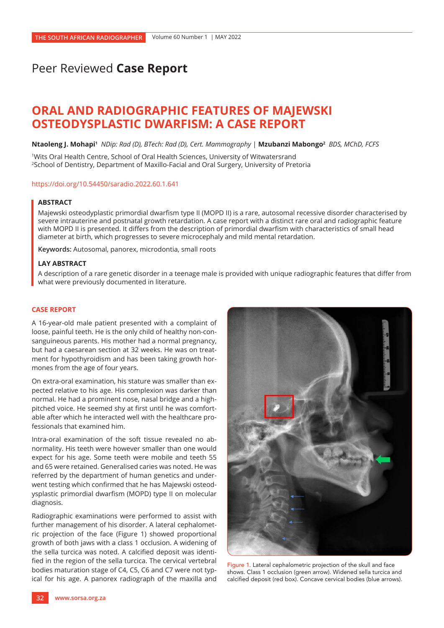# Peer Reviewed **Case Report**

# **ORAL AND RADIOGRAPHIC FEATURES OF MAJEWSKI OSTEODYSPLASTIC DWARFISM: A CASE REPORT**

**Ntaoleng J. Mohapi1** *NDip: Rad (D), BTech: Rad (D), Cert. Mammography* | **Mzubanzi Mabongo2** *BDS, MChD, FCFS*

1Wits Oral Health Centre, School of Oral Health Sciences, University of Witwatersrand 2School of Dentistry, Department of Maxillo-Facial and Oral Surgery, University of Pretoria

#### <https://doi.org/10.54450/saradio.2022.60.1.641>

## **ABSTRACT**

Majewski osteodyplastic primordial dwarfism type II (MOPD II) is a rare, autosomal recessive disorder characterised by severe intrauterine and postnatal growth retardation. A case report with a distinct rare oral and radiographic feature with MOPD II is presented. It differs from the description of primordial dwarfism with characteristics of small head diameter at birth, which progresses to severe microcephaly and mild mental retardation.

**Keywords:** Autosomal, panorex, microdontia, small roots

## **LAY ABSTRACT**

A description of a rare genetic disorder in a teenage male is provided with unique radiographic features that differ from what were previously documented in literature.

## **CASE REPORT**

A 16-year-old male patient presented with a complaint of loose, painful teeth. He is the only child of healthy non-consanguineous parents. His mother had a normal pregnancy, but had a caesarean section at 32 weeks. He was on treatment for hypothyroidism and has been taking growth hormones from the age of four years.

On extra-oral examination, his stature was smaller than expected relative to his age. His complexion was darker than normal. He had a prominent nose, nasal bridge and a highpitched voice. He seemed shy at first until he was comfortable after which he interacted well with the healthcare professionals that examined him.

Intra-oral examination of the soft tissue revealed no abnormality. His teeth were however smaller than one would expect for his age. Some teeth were mobile and teeth 55 and 65 were retained. Generalised caries was noted. He was referred by the department of human genetics and underwent testing which confirmed that he has Majewski osteodysplastic primordial dwarfism (MOPD) type II on molecular diagnosis.

Radiographic examinations were performed to assist with further management of his disorder. A lateral cephalometric projection of the face (Figure 1) showed proportional growth of both jaws with a class 1 occlusion. A widening of the sella turcica was noted. A calcified deposit was identified in the region of the sella turcica. The cervical vertebral bodies maturation stage of C4, C5, C6 and C7 were not typical for his age. A panorex radiograph of the maxilla and



Figure 1. Lateral cephalometric projection of the skull and face shows. Class 1 occlusion (green arrow). Widened sella turcica and calcified deposit (red box). Concave cervical bodies (blue arrows).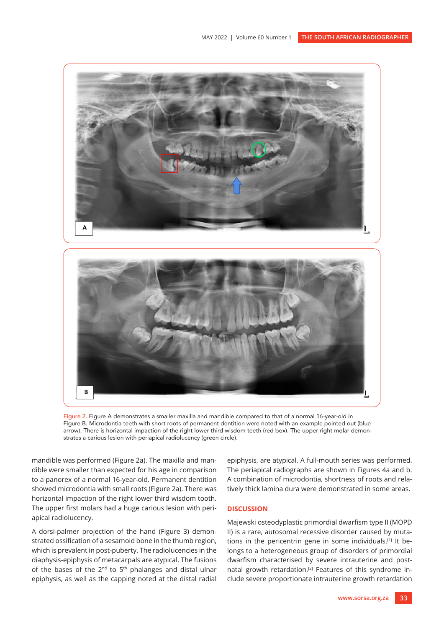

Figure 2. Figure A demonstrates a smaller maxilla and mandible compared to that of a normal 16-year-old in Figure B. Microdontia teeth with short roots of permanent dentition were noted with an example pointed out (blue arrow). There is horizontal impaction of the right lower third wisdom teeth (red box). The upper right molar demonstrates a carious lesion with periapical radiolucency (green circle).

mandible was performed (Figure 2a). The maxilla and mandible were smaller than expected for his age in comparison to a panorex of a normal 16-year-old. Permanent dentition showed microdontia with small roots (Figure 2a). There was horizontal impaction of the right lower third wisdom tooth. The upper first molars had a huge carious lesion with periapical radiolucency.

A dorsi-palmer projection of the hand (Figure 3) demonstrated ossification of a sesamoid bone in the thumb region, which is prevalent in post-puberty. The radiolucencies in the diaphysis-epiphysis of metacarpals are atypical. The fusions of the bases of the  $2^{nd}$  to  $5^{th}$  phalanges and distal ulnar epiphysis, as well as the capping noted at the distal radial

epiphysis, are atypical. A full-mouth series was performed. The periapical radiographs are shown in Figures 4a and b. A combination of microdontia, shortness of roots and relatively thick lamina dura were demonstrated in some areas.

## **DISCUSSION**

Majewski osteodyplastic primordial dwarfism type II (MOPD II) is a rare, autosomal recessive disorder caused by mutations in the pericentrin gene in some individuals.[1] It belongs to a heterogeneous group of disorders of primordial dwarfism characterised by severe intrauterine and postnatal growth retardation.<sup>[2]</sup> Features of this syndrome include severe proportionate intrauterine growth retardation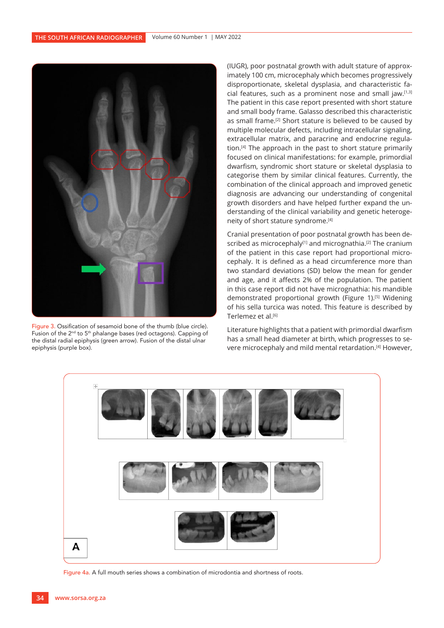

Figure 3. Ossification of sesamoid bone of the thumb (blue circle). Fusion of the 2nd to 5th phalange bases (red octagons). Capping of the distal radial epiphysis (green arrow). Fusion of the distal ulnar epiphysis (purple box).

(IUGR), poor postnatal growth with adult stature of approximately 100 cm, microcephaly which becomes progressively disproportionate, skeletal dysplasia, and characteristic facial features, such as a prominent nose and small jaw.[1,3] The patient in this case report presented with short stature and small body frame. Galasso described this characteristic as small frame.[2] Short stature is believed to be caused by multiple molecular defects, including intracellular signaling, extracellular matrix, and paracrine and endocrine regulation.[4] The approach in the past to short stature primarily focused on clinical manifestations: for example, primordial dwarfism, syndromic short stature or skeletal dysplasia to categorise them by similar clinical features. Currently, the combination of the clinical approach and improved genetic diagnosis are advancing our understanding of congenital growth disorders and have helped further expand the understanding of the clinical variability and genetic heterogeneity of short stature syndrome.<sup>[4]</sup>

Cranial presentation of poor postnatal growth has been described as microcephaly<sup>[1]</sup> and micrognathia.<sup>[2]</sup> The cranium of the patient in this case report had proportional microcephaly. It is defined as a head circumference more than two standard deviations (SD) below the mean for gender and age, and it affects 2% of the population. The patient in this case report did not have micrognathia: his mandible demonstrated proportional growth (Figure 1).<sup>[5]</sup> Widening of his sella turcica was noted. This feature is described by Terlemez et al.<sup>[6]</sup>

Literature highlights that a patient with primordial dwarfism has a small head diameter at birth, which progresses to severe microcephaly and mild mental retardation.[4] However,



Figure 4a. A full mouth series shows a combination of microdontia and shortness of roots.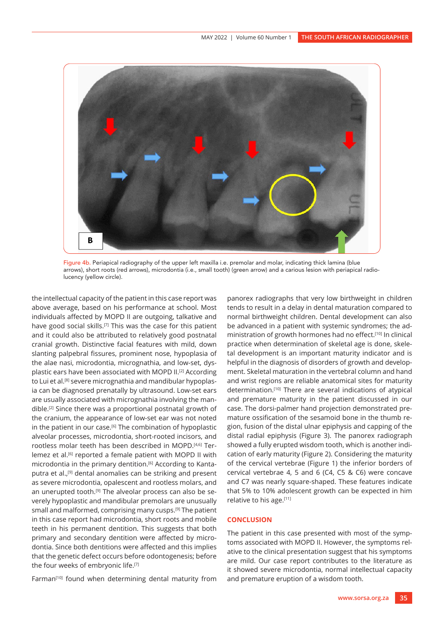

Figure 4b. Periapical radiography of the upper left maxilla i.e. premolar and molar, indicating thick lamina (blue arrows), short roots (red arrows), microdontia (i.e., small tooth) (green arrow) and a carious lesion with periapical radiolucency (yellow circle).

the intellectual capacity of the patient in this case report was above average, based on his performance at school. Most individuals affected by MOPD II are outgoing, talkative and have good social skills.<sup>[7]</sup> This was the case for this patient and it could also be attributed to relatively good postnatal cranial growth. Distinctive facial features with mild, down slanting palpebral fissures, prominent nose, hypoplasia of the alae nasi, microdontia, micrognathia, and low-set, dysplastic ears have been associated with MOPD II.[2] According to Lui et al.<sup>[8]</sup> severe micrognathia and mandibular hypoplasia can be diagnosed prenatally by ultrasound. Low-set ears are usually associated with micrognathia involving the mandible.[2] Since there was a proportional postnatal growth of the cranium, the appearance of low-set ear was not noted in the patient in our case.[6] The combination of hypoplastic alveolar processes, microdontia, short-rooted incisors, and rootless molar teeth has been described in MOPD.[4,6] Terlemez et al.[6] reported a female patient with MOPD II with microdontia in the primary dentition.[6] According to Kantaputra et al.,[9] dental anomalies can be striking and present as severe microdontia, opalescent and rootless molars, and an unerupted tooth.<sup>[9]</sup> The alveolar process can also be severely hypoplastic and mandibular premolars are unusually small and malformed, comprising many cusps.[9] The patient in this case report had microdontia, short roots and mobile teeth in his permanent dentition. This suggests that both primary and secondary dentition were affected by microdontia. Since both dentitions were affected and this implies that the genetic defect occurs before odontogenesis; before the four weeks of embryonic life.[7]

Farman<sup>[10]</sup> found when determining dental maturity from

panorex radiographs that very low birthweight in children tends to result in a delay in dental maturation compared to normal birthweight children. Dental development can also be advanced in a patient with systemic syndromes; the administration of growth hormones had no effect.[10] In clinical practice when determination of skeletal age is done, skeletal development is an important maturity indicator and is helpful in the diagnosis of disorders of growth and development. Skeletal maturation in the vertebral column and hand and wrist regions are reliable anatomical sites for maturity determination.[10] There are several indications of atypical and premature maturity in the patient discussed in our case. The dorsi-palmer hand projection demonstrated premature ossification of the sesamoid bone in the thumb region, fusion of the distal ulnar epiphysis and capping of the distal radial epiphysis (Figure 3). The panorex radiograph showed a fully erupted wisdom tooth, which is another indication of early maturity (Figure 2). Considering the maturity of the cervical vertebrae (Figure 1) the inferior borders of cervical vertebrae 4, 5 and 6 (C4, C5 & C6) were concave and C7 was nearly square-shaped. These features indicate that 5% to 10% adolescent growth can be expected in him relative to his age.[11]

# **CONCLUSION**

The patient in this case presented with most of the symptoms associated with MOPD II. However, the symptoms relative to the clinical presentation suggest that his symptoms are mild. Our case report contributes to the literature as it showed severe microdontia, normal intellectual capacity and premature eruption of a wisdom tooth.